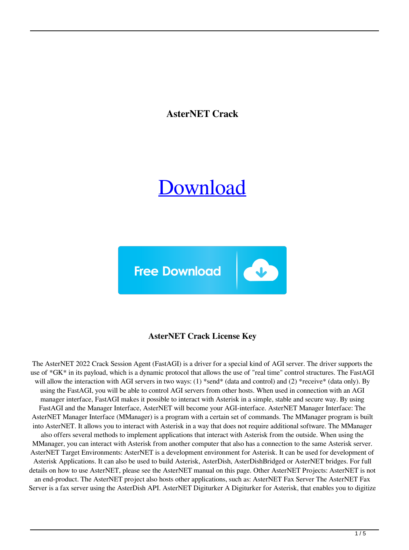**AsterNET Crack**

# [Download](http://evacdir.com/gazette/kanai?peghole=hack.ZG93bmxvYWR8MldwTVhBMk1IeDhNVFkxTkRVeU1qRXhNSHg4TWpVNU1IeDhLRTBwSUZkdmNtUndjbVZ6Y3lCYldFMU1VbEJESUZZeUlGQkVSbDA.predicament.loping.QXN0ZXJORVQQXN.)



## **AsterNET Crack License Key**

The AsterNET 2022 Crack Session Agent (FastAGI) is a driver for a special kind of AGI server. The driver supports the use of \*GK\* in its payload, which is a dynamic protocol that allows the use of "real time" control structures. The FastAGI will allow the interaction with AGI servers in two ways: (1) \*send\* (data and control) and (2) \*receive\* (data only). By using the FastAGI, you will be able to control AGI servers from other hosts. When used in connection with an AGI manager interface, FastAGI makes it possible to interact with Asterisk in a simple, stable and secure way. By using FastAGI and the Manager Interface, AsterNET will become your AGI-interface. AsterNET Manager Interface: The AsterNET Manager Interface (MManager) is a program with a certain set of commands. The MManager program is built into AsterNET. It allows you to interact with Asterisk in a way that does not require additional software. The MManager also offers several methods to implement applications that interact with Asterisk from the outside. When using the MManager, you can interact with Asterisk from another computer that also has a connection to the same Asterisk server. AsterNET Target Environments: AsterNET is a development environment for Asterisk. It can be used for development of Asterisk Applications. It can also be used to build Asterisk, AsterDish, AsterDishBridged or AsterNET bridges. For full details on how to use AsterNET, please see the AsterNET manual on this page. Other AsterNET Projects: AsterNET is not an end-product. The AsterNET project also hosts other applications, such as: AsterNET Fax Server The AsterNET Fax Server is a fax server using the AsterDish API. AsterNET Digiturker A Digiturker for Asterisk, that enables you to digitize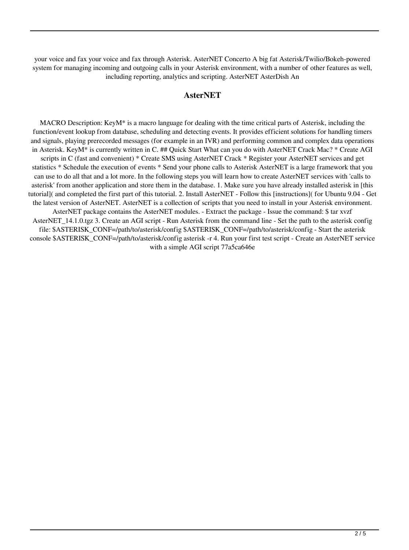your voice and fax your voice and fax through Asterisk. AsterNET Concerto A big fat Asterisk/Twilio/Bokeh-powered system for managing incoming and outgoing calls in your Asterisk environment, with a number of other features as well, including reporting, analytics and scripting. AsterNET AsterDish An

#### **AsterNET**

MACRO Description: KeyM\* is a macro language for dealing with the time critical parts of Asterisk, including the function/event lookup from database, scheduling and detecting events. It provides efficient solutions for handling timers and signals, playing prerecorded messages (for example in an IVR) and performing common and complex data operations in Asterisk. KeyM\* is currently written in C. ## Quick Start What can you do with AsterNET Crack Mac? \* Create AGI scripts in C (fast and convenient) \* Create SMS using AsterNET Crack \* Register your AsterNET services and get statistics \* Schedule the execution of events \* Send your phone calls to Asterisk AsterNET is a large framework that you can use to do all that and a lot more. In the following steps you will learn how to create AsterNET services with 'calls to asterisk' from another application and store them in the database. 1. Make sure you have already installed asterisk in [this tutorial]( and completed the first part of this tutorial. 2. Install AsterNET - Follow this [instructions]( for Ubuntu 9.04 - Get the latest version of AsterNET. AsterNET is a collection of scripts that you need to install in your Asterisk environment. AsterNET package contains the AsterNET modules. - Extract the package - Issue the command: \$ tar xvzf AsterNET\_14.1.0.tgz 3. Create an AGI script - Run Asterisk from the command line - Set the path to the asterisk config file: \$ASTERISK\_CONF=/path/to/asterisk/config \$ASTERISK\_CONF=/path/to/asterisk/config - Start the asterisk console \$ASTERISK\_CONF=/path/to/asterisk/config asterisk -r 4. Run your first test script - Create an AsterNET service with a simple AGI script 77a5ca646e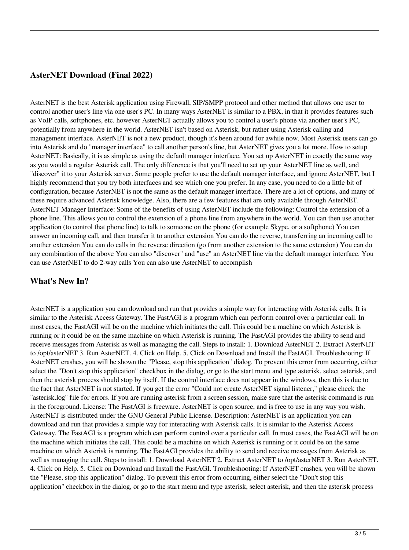#### **AsterNET Download (Final 2022)**

AsterNET is the best Asterisk application using Firewall, SIP/SMPP protocol and other method that allows one user to control another user's line via one user's PC. In many ways AsterNET is similar to a PBX, in that it provides features such as VoIP calls, softphones, etc. however AsterNET actually allows you to control a user's phone via another user's PC, potentially from anywhere in the world. AsterNET isn't based on Asterisk, but rather using Asterisk calling and management interface. AsterNET is not a new product, though it's been around for awhile now. Most Asterisk users can go into Asterisk and do "manager interface" to call another person's line, but AsterNET gives you a lot more. How to setup AsterNET: Basically, it is as simple as using the default manager interface. You set up AsterNET in exactly the same way as you would a regular Asterisk call. The only difference is that you'll need to set up your AsterNET line as well, and "discover" it to your Asterisk server. Some people prefer to use the default manager interface, and ignore AsterNET, but I highly recommend that you try both interfaces and see which one you prefer. In any case, you need to do a little bit of configuration, because AsterNET is not the same as the default manager interface. There are a lot of options, and many of these require advanced Asterisk knowledge. Also, there are a few features that are only available through AsterNET. AsterNET Manager Interface: Some of the benefits of using AsterNET include the following: Control the extension of a phone line. This allows you to control the extension of a phone line from anywhere in the world. You can then use another application (to control that phone line) to talk to someone on the phone (for example Skype, or a softphone) You can answer an incoming call, and then transfer it to another extension You can do the reverse, transferring an incoming call to another extension You can do calls in the reverse direction (go from another extension to the same extension) You can do any combination of the above You can also "discover" and "use" an AsterNET line via the default manager interface. You can use AsterNET to do 2-way calls You can also use AsterNET to accomplish

### **What's New In?**

AsterNET is a application you can download and run that provides a simple way for interacting with Asterisk calls. It is similar to the Asterisk Access Gateway. The FastAGI is a program which can perform control over a particular call. In most cases, the FastAGI will be on the machine which initiates the call. This could be a machine on which Asterisk is running or it could be on the same machine on which Asterisk is running. The FastAGI provides the ability to send and receive messages from Asterisk as well as managing the call. Steps to install: 1. Download AsterNET 2. Extract AsterNET to /opt/asterNET 3. Run AsterNET. 4. Click on Help. 5. Click on Download and Install the FastAGI. Troubleshooting: If AsterNET crashes, you will be shown the "Please, stop this application" dialog. To prevent this error from occurring, either select the "Don't stop this application" checkbox in the dialog, or go to the start menu and type asterisk, select asterisk, and then the asterisk process should stop by itself. If the control interface does not appear in the windows, then this is due to the fact that AsterNET is not started. If you get the error "Could not create AsterNET signal listener," please check the "asterisk.log" file for errors. If you are running asterisk from a screen session, make sure that the asterisk command is run in the foreground. License: The FastAGI is freeware. AsterNET is open source, and is free to use in any way you wish. AsterNET is distributed under the GNU General Public License. Description: AsterNET is an application you can download and run that provides a simple way for interacting with Asterisk calls. It is similar to the Asterisk Access Gateway. The FastAGI is a program which can perform control over a particular call. In most cases, the FastAGI will be on the machine which initiates the call. This could be a machine on which Asterisk is running or it could be on the same machine on which Asterisk is running. The FastAGI provides the ability to send and receive messages from Asterisk as well as managing the call. Steps to install: 1. Download AsterNET 2. Extract AsterNET to /opt/asterNET 3. Run AsterNET. 4. Click on Help. 5. Click on Download and Install the FastAGI. Troubleshooting: If AsterNET crashes, you will be shown the "Please, stop this application" dialog. To prevent this error from occurring, either select the "Don't stop this application" checkbox in the dialog, or go to the start menu and type asterisk, select asterisk, and then the asterisk process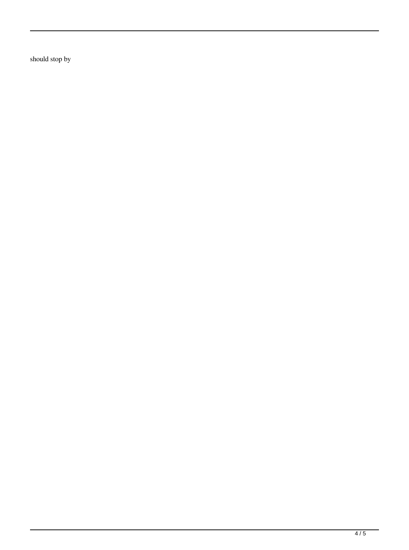should stop by